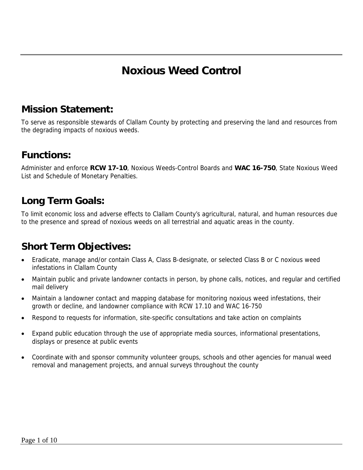# **Noxious Weed Control**

### **Mission Statement:**

To serve as responsible stewards of Clallam County by protecting and preserving the land and resources from the degrading impacts of noxious weeds.

### **Functions:**

Administer and enforce **RCW 17-10**, Noxious Weeds-Control Boards and **WAC 16-750**, State Noxious Weed List and Schedule of Monetary Penalties.

## **Long Term Goals:**

To limit economic loss and adverse effects to Clallam County's agricultural, natural, and human resources due to the presence and spread of noxious weeds on all terrestrial and aquatic areas in the county.

## **Short Term Objectives:**

- Eradicate, manage and/or contain Class A, Class B-designate, or selected Class B or C noxious weed infestations in Clallam County
- Maintain public and private landowner contacts in person, by phone calls, notices, and regular and certified mail delivery
- Maintain a landowner contact and mapping database for monitoring noxious weed infestations, their growth or decline, and landowner compliance with RCW 17.10 and WAC 16-750
- Respond to requests for information, site-specific consultations and take action on complaints
- Expand public education through the use of appropriate media sources, informational presentations, displays or presence at public events
- Coordinate with and sponsor community volunteer groups, schools and other agencies for manual weed removal and management projects, and annual surveys throughout the county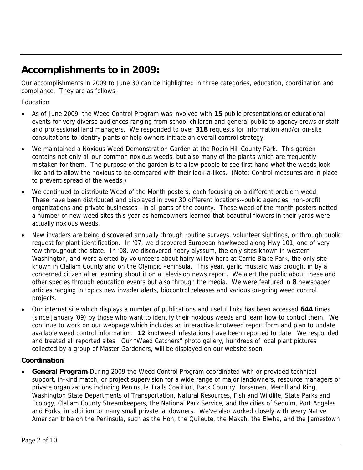## **Accomplishments to in 2009:**

Our accomplishments in 2009 to June 30 can be highlighted in three categories, education, coordination and compliance. They are as follows:

Education

- As of June 2009, the Weed Control Program was involved with **15** public presentations or educational events for very diverse audiences ranging from school children and general public to agency crews or staff and professional land managers. We responded to over **318** requests for information and/or on-site consultations to identify plants or help owners initiate an overall control strategy.
- We maintained a Noxious Weed Demonstration Garden at the Robin Hill County Park. This garden contains not only all our common noxious weeds, but also many of the plants which are frequently mistaken for them. The purpose of the garden is to allow people to see first hand what the weeds look like and to allow the noxious to be compared with their look-a-likes. (Note: Control measures are in place to prevent spread of the weeds.)
- We continued to distribute Weed of the Month posters; each focusing on a different problem weed. These have been distributed and displayed in over 30 different locations--public agencies, non-profit organizations and private businesses—in all parts of the county. These weed of the month posters netted a number of new weed sites this year as homeowners learned that beautiful flowers in their yards were actually noxious weeds.
- New invaders are being discovered annually through routine surveys, volunteer sightings, or through public request for plant identification. In '07, we discovered European hawkweed along Hwy 101, one of very few throughout the state. In '08, we discovered hoary alyssum, the only sites known in western Washington, and were alerted by volunteers about hairy willow herb at Carrie Blake Park, the only site known in Clallam County and on the Olympic Peninsula. This year, garlic mustard was brought in by a concerned citizen after learning about it on a television news report. We alert the public about these and other species through education events but also through the media. We were featured in **8** newspaper articles ranging in topics new invader alerts, biocontrol releases and various on-going weed control projects.
- Our internet site which displays a number of publications and useful links has been accessed **644** times (since January '09) by those who want to identify their noxious weeds and learn how to control them. We continue to work on our webpage which includes an interactive knotweed report form and plan to update available weed control information. **12** knotweed infestations have been reported to date. We responded and treated all reported sites. Our "Weed Catchers" photo gallery, hundreds of local plant pictures collected by a group of Master Gardeners, will be displayed on our website soon.

#### **Coordination**

• **General Program**-During 2009 the Weed Control Program coordinated with or provided technical support, in-kind match, or project supervision for a wide range of major landowners, resource managers or private organizations including Peninsula Trails Coalition, Back Country Horsemen, Merrill and Ring, Washington State Departments of Transportation, Natural Resources, Fish and Wildlife, State Parks and Ecology, Clallam County Streamkeepers, the National Park Service, and the cities of Sequim, Port Angeles and Forks, in addition to many small private landowners. We've also worked closely with every Native American tribe on the Peninsula, such as the Hoh, the Quileute, the Makah, the Elwha, and the Jamestown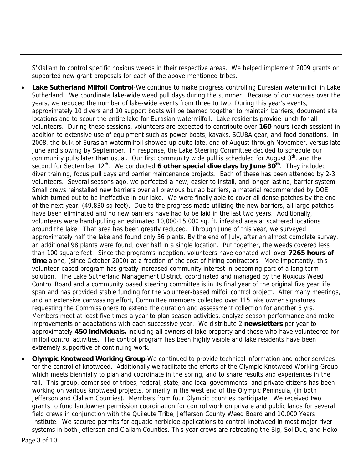S'Klallam to control specific noxious weeds in their respective areas. We helped implement 2009 grants or supported new grant proposals for each of the above mentioned tribes.

- **Lake Sutherland Milfoil Control**-We continue to make progress controlling Eurasian watermilfoil in Lake Sutherland. We coordinate lake-wide weed pull days during the summer. Because of our success over the years, we reduced the number of lake-wide events from three to two. During this year's events, approximately 10 divers and 10 support boats will be teamed together to maintain barriers, document site locations and to scour the entire lake for Eurasian watermilfoil. Lake residents provide lunch for all volunteers. During these sessions, volunteers are expected to contribute over **160** hours (each session) in addition to extensive use of equipment such as power boats, kayaks, SCUBA gear, and food donations. In 2008, the bulk of Eurasian watermilfoil showed up quite late, end of August through November, versus late June and slowing by September. In response, the Lake Steering Committee decided to schedule our community pulls later than usual. Our first community wide pull is scheduled for August  $8<sup>th</sup>$ , and the second for September 12<sup>th</sup>. We conducted **6 other special dive days by June 30<sup>th</sup>**. They included diver training, focus pull days and barrier maintenance projects. Each of these has been attended by 2-3 volunteers. Several seasons ago, we perfected a new, easier to install, and longer lasting, barrier system. Small crews reinstalled new barriers over all previous burlap barriers, a material recommended by DOE which turned out to be ineffective in our lake. We were finally able to cover all dense patches by the end of the next year. (49,830 sq feet). Due to the progress made utilizing the new barriers, all large patches have been eliminated and no new barriers have had to be laid in the last two years. Additionally, volunteers were hand-pulling an estimated 10,000-15,000 sq. ft. infested area at scattered locations around the lake. That area has been greatly reduced. Through June of this year, we surveyed approximately half the lake and found only 56 plants. By the end of July, after an almost complete survey, an additional 98 plants were found, over half in a single location. Put together, the weeds covered less than 100 square feet. Since the program's inception, volunteers have donated well over **7265 hours of time** alone, (since October 2000) at a fraction of the cost of hiring contractors. More importantly, this volunteer-based program has greatly increased community interest in becoming part of a long term solution. The Lake Sutherland Management District, coordinated and managed by the Noxious Weed Control Board and a community based steering committee is in its final year of the original five year life span and has provided stable funding for the volunteer-based milfoil control project. After many meetings, and an extensive canvassing effort, Committee members collected over 115 lake owner signatures requesting the Commissioners to extend the duration and assessment collection for another 5 yrs. Members meet at least five times a year to plan season activities, analyze season performance and make improvements or adaptations with each successive year. We distribute 2 **newsletters** per year to approximately **450 individuals,** including all owners of lake property and those who have volunteered for milfoil control activities. The control program has been highly visible and lake residents have been extremely supportive of continuing work.
- **Olympic Knotweed Working Group**-We continued to provide technical information and other services for the control of knotweed. Additionally we facilitate the efforts of the Olympic Knotweed Working Group which meets biennially to plan and coordinate in the spring, and to share results and experiences in the fall. This group, comprised of tribes, federal, state, and local governments, and private citizens has been working on various knotweed projects, primarily in the west end of the Olympic Peninsula, (in both Jefferson and Clallam Counties). Members from four Olympic counties participate. We received two grants to fund landowner permission coordination for control work on private and public lands for several field crews in conjunction with the Quileute Tribe, Jefferson County Weed Board and 10,000 Years Institute. We secured permits for aquatic herbicide applications to control knotweed in most major river systems in both Jefferson and Clallam Counties. This year crews are retreating the Big, Sol Duc, and Hoko

Page 3 of 10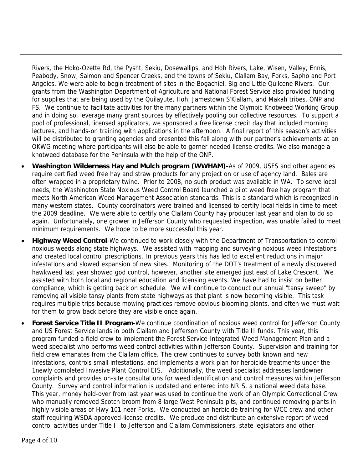Rivers, the Hoko-Ozette Rd, the Pysht, Sekiu, Dosewallips, and Hoh Rivers, Lake, Wisen, Valley, Ennis, Peabody, Snow, Salmon and Spencer Creeks, and the towns of Sekiu, Clallam Bay, Forks, Sapho and Port Angeles. We were able to begin treatment of sites in the Bogachiel, Big and Little Quilcene Rivers. Our grants from the Washington Department of Agriculture and National Forest Service also provided funding for supplies that are being used by the Quilayute, Hoh, Jamestown S'Klallam, and Makah tribes, ONP and FS. We continue to facilitate activities for the many partners within the Olympic Knotweed Working Group and in doing so, leverage many grant sources by effectively pooling our collective resources. To support a pool of professional, licensed applicators, we sponsored a free license credit day that included morning lectures, and hands-on training with applications in the afternoon. A final report of this season's activities will be distributed to granting agencies and presented this fall along with our partner's achievements at an OKWG meeting where participants will also be able to garner needed license credits. We also manage a knotweed database for the Peninsula with the help of the ONP.

- **Washington Wilderness Hay and Mulch program (WWHAM)-**As of 2009, USFS and other agencies require certified weed free hay and straw products for any project on or use of agency land. Bales are often wrapped in a proprietary twine. Prior to 2008, no such product was available in WA. To serve local needs, the Washington State Noxious Weed Control Board launched a pilot weed free hay program that meets North American Weed Management Association standards. This is a standard which is recognized in many western states. County coordinators were trained and licensed to certify local fields in time to meet the 2009 deadline. We were able to certify one Clallam County hay producer last year and plan to do so again. Unfortunately, one grower in Jefferson County who requested inspection, was unable failed to meet minimum requirements. We hope to be more successful this year.
- **Highway Weed Control**-We continued to work closely with the Department of Transportation to control noxious weeds along state highways. We assisted with mapping and surveying noxious weed infestations and created local control prescriptions. In previous years this has led to excellent reductions in major infestations and slowed expansion of new sites. Monitoring of the DOT's treatment of a newly discovered hawkweed last year showed god control, however, another site emerged just east of Lake Crescent. We assisted with both local and regional education and licensing events. We have had to insist on better compliance, which is getting back on schedule. We will continue to conduct our annual "tansy sweep" by removing all visible tansy plants from state highways as that plant is now becoming visible. This task requires multiple trips because mowing practices remove obvious blooming plants, and often we must wait for them to grow back before they are visible once again.
- **Forest Service Title II Program**-We continue coordination of noxious weed control for Jefferson County and US Forest Service lands in both Clallam and Jefferson County with Title II funds. This year, this program funded a field crew to implement the Forest Service Integrated Weed Management Plan and a weed specialist who performs weed control activities within Jefferson County. Supervision and training for field crew emanates from the Clallam office. The crew continues to survey both known and new infestations, controls small infestations, and implements a work plan for herbicide treatments under the 1newly completed Invasive Plant Control EIS. Additionally, the weed specialist addresses landowner complaints and provides on-site consultations for weed identification and control measures within Jefferson County. Survey and control information is updated and entered into NRIS, a national weed data base. This year, money held-over from last year was used to continue the work of an Olympic Correctional Crew who manually removed Scotch broom from 8 large West Peninsula pits, and continued removing plants in highly visible areas of Hwy 101 near Forks. We conducted an herbicide training for WCC crew and other staff requiring WSDA approved-license credits. We produce and distribute an extensive report of weed control activities under Title II to Jefferson and Clallam Commissioners, state legislators and other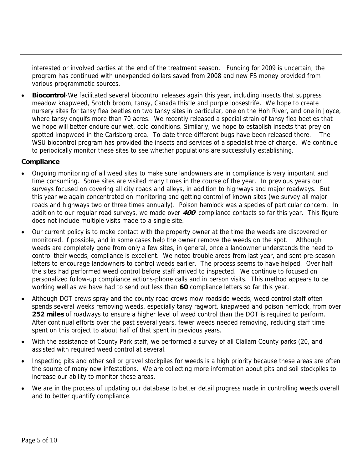interested or involved parties at the end of the treatment season. Funding for 2009 is uncertain; the program has continued with unexpended dollars saved from 2008 and new FS money provided from various programmatic sources.

• **Biocontrol**-We facilitated several biocontrol releases again this year, including insects that suppress meadow knapweed, Scotch broom, tansy, Canada thistle and purple loosestrife. We hope to create nursery sites for tansy flea beetles on two tansy sites in particular, one on the Hoh River, and one in Joyce, where tansy engulfs more than 70 acres. We recently released a special strain of tansy flea beetles that we hope will better endure our wet, cold conditions. Similarly, we hope to establish insects that prey on spotted knapweed in the Carlsborg area. To date three different bugs have been released there. The WSU biocontrol program has provided the insects and services of a specialist free of charge. We continue to periodically monitor these sites to see whether populations are successfully establishing.

#### **Compliance**

- Ongoing monitoring of all weed sites to make sure landowners are in compliance is very important and time consuming. Some sites are visited many times in the course of the year. In previous years our surveys focused on covering all city roads and alleys, in addition to highways and major roadways. But this year we again concentrated on monitoring and getting control of known sites (we survey all major roads and highways two or three times annually). Poison hemlock was a species of particular concern. In addition to our regular road surveys, we made over **400** compliance contacts so far this year. This figure does not include multiple visits made to a single site.
- Our current policy is to make contact with the property owner at the time the weeds are discovered or monitored, if possible, and in some cases help the owner remove the weeds on the spot. Although weeds are completely gone from only a few sites, in general, once a landowner understands the need to control their weeds, compliance is excellent. We noted trouble areas from last year, and sent pre-season letters to encourage landowners to control weeds earlier. The process seems to have helped. Over half the sites had performed weed control before staff arrived to inspected. We continue to focused on personalized follow-up compliance actions-phone calls and in person visits. This method appears to be working well as we have had to send out less than **60** compliance letters so far this year.
- Although DOT crews spray and the county road crews mow roadside weeds, weed control staff often spends several weeks removing weeds, especially tansy ragwort, knapweed and poison hemlock, from over **252 miles** of roadways to ensure a higher level of weed control than the DOT is required to perform. After continual efforts over the past several years, fewer weeds needed removing, reducing staff time spent on this project to about half of that spent in previous years.
- With the assistance of County Park staff, we performed a survey of all Clallam County parks (20, and assisted with required weed control at several.
- Inspecting pits and other soil or gravel stockpiles for weeds is a high priority because these areas are often the source of many new infestations. We are collecting more information about pits and soil stockpiles to increase our ability to monitor these areas.
- We are in the process of updating our database to better detail progress made in controlling weeds overall and to better quantify compliance.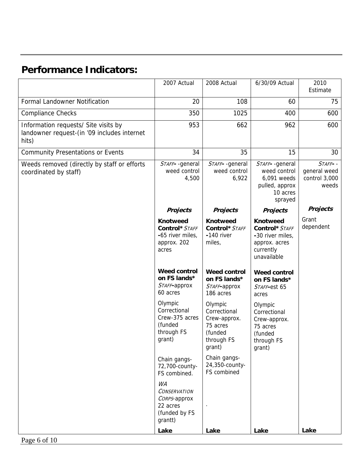# **Performance Indicators:**

|                                                                                              | 2007 Actual                                                                       | 2008 Actual                                                                            | 6/30/09 Actual                                                                                     | 2010<br>Estimate                                  |
|----------------------------------------------------------------------------------------------|-----------------------------------------------------------------------------------|----------------------------------------------------------------------------------------|----------------------------------------------------------------------------------------------------|---------------------------------------------------|
| Formal Landowner Notification                                                                | 20                                                                                | 108                                                                                    | 60                                                                                                 | 75                                                |
| <b>Compliance Checks</b>                                                                     | 350                                                                               | 1025                                                                                   | 400                                                                                                | 600                                               |
| Information requests/ Site visits by<br>landowner request-(in '09 includes internet<br>hits) | 953                                                                               | 662                                                                                    | 962                                                                                                | 600                                               |
| <b>Community Presentations or Events</b>                                                     | 34                                                                                | 35                                                                                     | 15                                                                                                 | 30                                                |
| Weeds removed (directly by staff or efforts<br>coordinated by staff)                         | STAFF--general<br>weed control<br>4,500                                           | STAFF--general<br>weed control<br>6,922                                                | STAFF--general<br>weed control<br>6,091 weeds<br>pulled, approx<br>10 acres<br>sprayed             | STAFF--<br>general weed<br>control 3,000<br>weeds |
|                                                                                              | <b>Projects</b>                                                                   | <b>Projects</b>                                                                        | <b>Projects</b>                                                                                    | <b>Projects</b>                                   |
|                                                                                              | <b>Knotweed</b><br>Control* STAFF<br>-65 river miles,<br>approx. 202<br>acres     | <b>Knotweed</b><br>Control* STAFF<br>-140 river<br>miles,                              | <b>Knotweed</b><br>Control* STAFF<br>-30 river miles,<br>approx. acres<br>currently<br>unavailable | Grant<br>dependent                                |
|                                                                                              | <b>Weed control</b><br>on FS lands*<br>STAFF-approx<br>60 acres                   | <b>Weed control</b><br>on FS lands*<br>STAFF-approx<br>186 acres                       | <b>Weed control</b><br>on FS lands*<br>STAFF-est 65<br>acres                                       |                                                   |
|                                                                                              | Olympic<br>Correctional<br>Crew-375 acres<br>(funded<br>through FS<br>grant)      | Olympic<br>Correctional<br>Crew-approx.<br>75 acres<br>(funded<br>through FS<br>grant) | Olympic<br>Correctional<br>Crew-approx.<br>75 acres<br>(funded<br>through FS<br>grant)             |                                                   |
|                                                                                              | Chain gangs-<br>72,700-county-<br>FS combined.                                    | Chain gangs-<br>24,350-county-<br>FS combined                                          |                                                                                                    |                                                   |
|                                                                                              | WA<br><b>CONSERVATION</b><br>CORPS-approx<br>22 acres<br>(funded by FS<br>grantt) |                                                                                        |                                                                                                    | Lake                                              |
|                                                                                              | Lake                                                                              | Lake                                                                                   | Lake                                                                                               |                                                   |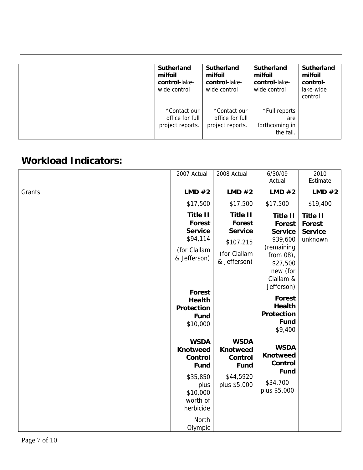| <b>Sutherland</b><br>milfoil<br>control-lake-<br>wide control | Sutherland<br>milfoil<br>control-lake-<br>wide control | Sutherland<br>milfoil<br>control-lake-<br>wide control | <b>Sutherland</b><br>milfoil<br>control-<br>lake-wide<br>control |
|---------------------------------------------------------------|--------------------------------------------------------|--------------------------------------------------------|------------------------------------------------------------------|
| *Contact our<br>office for full<br>project reports.           | *Contact our<br>office for full<br>project reports.    | *Full reports<br>are<br>forthcoming in<br>the fall.    |                                                                  |

## **Workload Indicators:**

|        | 2007 Actual                                                                                                                             | 2008 Actual                                                                              | 6/30/09<br>Actual                                                                                                                                                       | 2010<br>Estimate                                       |
|--------|-----------------------------------------------------------------------------------------------------------------------------------------|------------------------------------------------------------------------------------------|-------------------------------------------------------------------------------------------------------------------------------------------------------------------------|--------------------------------------------------------|
| Grants | LMD #2                                                                                                                                  | LMD #2                                                                                   | LMD #2                                                                                                                                                                  | LMD #2                                                 |
|        | \$17,500                                                                                                                                | \$17,500                                                                                 | \$17,500                                                                                                                                                                | \$19,400                                               |
|        | <b>Title II</b><br>Forest<br><b>Service</b><br>\$94,114<br>(for Clallam<br>& Jefferson)<br>Forest<br><b>Health</b><br><b>Protection</b> | <b>Title II</b><br>Forest<br><b>Service</b><br>\$107,215<br>(for Clallam<br>& Jefferson) | <b>Title II</b><br>Forest<br><b>Service</b><br>\$39,600<br>(remaining<br>from 08),<br>\$27,500<br>new (for<br>Clallam &<br>Jefferson)<br><b>Forest</b><br><b>Health</b> | <b>Title II</b><br>Forest<br><b>Service</b><br>unknown |
|        | <b>Fund</b><br>\$10,000                                                                                                                 |                                                                                          | <b>Protection</b><br><b>Fund</b><br>\$9,400                                                                                                                             |                                                        |
|        | <b>WSDA</b><br><b>Knotweed</b><br>Control<br><b>Fund</b>                                                                                | <b>WSDA</b><br><b>Knotweed</b><br>Control<br><b>Fund</b>                                 | <b>WSDA</b><br><b>Knotweed</b><br>Control<br><b>Fund</b>                                                                                                                |                                                        |
|        | \$35,850<br>plus<br>\$10,000<br>worth of<br>herbicide<br>North<br>Olympic                                                               | \$44,5920<br>plus \$5,000                                                                | \$34,700<br>plus \$5,000                                                                                                                                                |                                                        |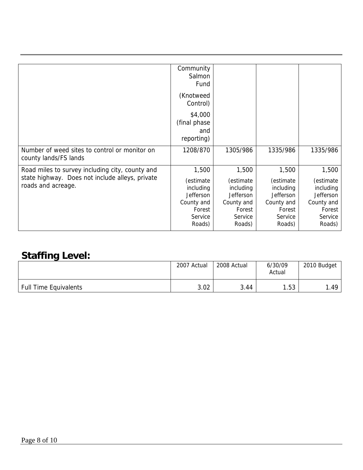|                                                 | Community        |            |            |            |
|-------------------------------------------------|------------------|------------|------------|------------|
|                                                 | Salmon           |            |            |            |
|                                                 | Fund             |            |            |            |
|                                                 |                  |            |            |            |
|                                                 | (Knotweed        |            |            |            |
|                                                 | Control)         |            |            |            |
|                                                 |                  |            |            |            |
|                                                 | \$4,000          |            |            |            |
|                                                 | (final phase)    |            |            |            |
|                                                 | and              |            |            |            |
|                                                 |                  |            |            |            |
|                                                 | reporting)       |            |            |            |
| Number of weed sites to control or monitor on   | 1208/870         | 1305/986   | 1335/986   | 1335/986   |
| county lands/FS lands                           |                  |            |            |            |
|                                                 |                  |            |            |            |
| Road miles to survey including city, county and | 1,500            | 1,500      | 1,500      | 1,500      |
| state highway. Does not include alleys, private |                  |            |            |            |
| roads and acreage.                              | (estimate        | (estimate  | (estimate  | (estimate  |
|                                                 | including        | including  | including  | including  |
|                                                 | <b>Jefferson</b> | Jefferson  | Jefferson  | Jefferson  |
|                                                 | County and       | County and | County and | County and |
|                                                 | Forest           | Forest     | Forest     | Forest     |
|                                                 | Service          | Service    | Service    | Service    |
|                                                 | Roads)           | Roads)     | Roads)     | Roads)     |
|                                                 |                  |            |            |            |

# **Staffing Level:**

|                              | 2007 Actual | 2008 Actual | 6/30/09<br>Actual | 2010 Budget |
|------------------------------|-------------|-------------|-------------------|-------------|
| <b>Full Time Equivalents</b> | 3.02        | 3.44        | .53               | . 49، ،     |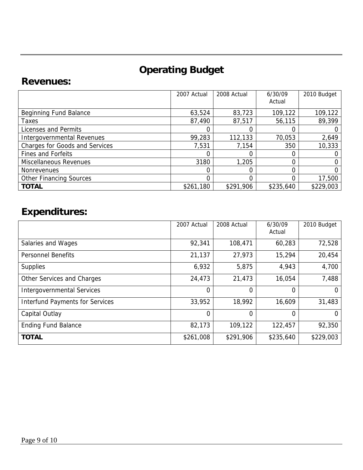# **Operating Budget**

### **Revenues:**

|                                       | 2007 Actual | 2008 Actual | 6/30/09<br>Actual | 2010 Budget |
|---------------------------------------|-------------|-------------|-------------------|-------------|
| Beginning Fund Balance                | 63,524      | 83,723      | 109,122           | 109,122     |
| Taxes                                 | 87,490      | 87,517      | 56,115            | 89,399      |
| Licenses and Permits                  |             |             |                   |             |
| Intergovernmental Revenues            | 99,283      | 112,133     | 70,053            | 2,649       |
| <b>Charges for Goods and Services</b> | 7,531       | 7,154       | 350               | 10,333      |
| <b>Fines and Forfeits</b>             |             |             |                   |             |
| <b>Miscellaneous Revenues</b>         | 3180        | 1,205       |                   |             |
| <b>Nonrevenues</b>                    |             |             |                   |             |
| <b>Other Financing Sources</b>        |             | 0           |                   | 17,500      |
| <b>TOTAL</b>                          | \$261,180   | \$291,906   | \$235,640         | \$229,003   |

# **Expenditures:**

|                                        | 2007 Actual | 2008 Actual | 6/30/09<br>Actual | 2010 Budget |
|----------------------------------------|-------------|-------------|-------------------|-------------|
| Salaries and Wages                     | 92,341      | 108,471     | 60,283            | 72,528      |
| <b>Personnel Benefits</b>              | 21,137      | 27,973      | 15,294            | 20,454      |
| <b>Supplies</b>                        | 6,932       | 5,875       | 4,943             | 4,700       |
| Other Services and Charges             | 24,473      | 21,473      | 16,054            | 7,488       |
| <b>Intergovernmental Services</b>      | 0           | 0           | $\Omega$          | 0           |
| <b>Interfund Payments for Services</b> | 33,952      | 18,992      | 16,609            | 31,483      |
| Capital Outlay                         | $\Omega$    | 0           | $\Omega$          | O           |
| <b>Ending Fund Balance</b>             | 82,173      | 109,122     | 122,457           | 92,350      |
| <b>TOTAL</b>                           | \$261,008   | \$291,906   | \$235,640         | \$229,003   |